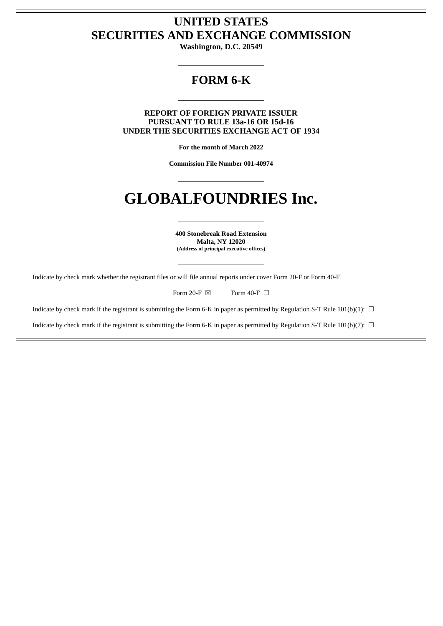# **UNITED STATES SECURITIES AND EXCHANGE COMMISSION**

**Washington, D.C. 20549**

## **FORM 6-K**

**REPORT OF FOREIGN PRIVATE ISSUER PURSUANT TO RULE 13a-16 OR 15d-16 UNDER THE SECURITIES EXCHANGE ACT OF 1934**

**For the month of March 2022**

**Commission File Number 001-40974**

# **GLOBALFOUNDRIES Inc.**

**400 Stonebreak Road Extension Malta, NY 12020 (Address of principal executive offices)**

Indicate by check mark whether the registrant files or will file annual reports under cover Form 20-F or Form 40-F.

Form 20-F  $\boxtimes$  Form 40-F  $\Box$ 

Indicate by check mark if the registrant is submitting the Form 6-K in paper as permitted by Regulation S-T Rule 101(b)(1):  $\Box$ 

Indicate by check mark if the registrant is submitting the Form 6-K in paper as permitted by Regulation S-T Rule 101(b)(7):  $\Box$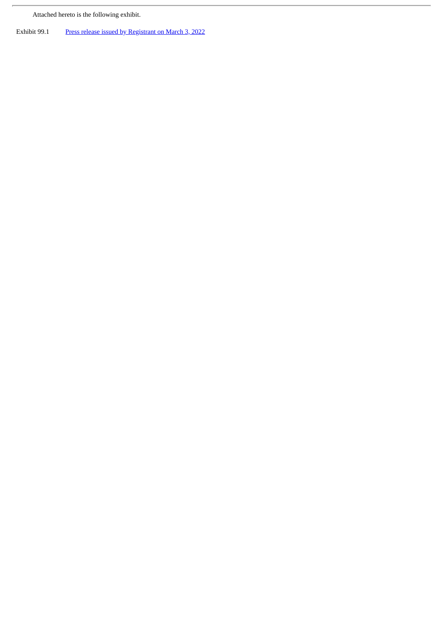Attached hereto is the following exhibit.

 $\overline{r}$ 

Exhibit 99.1 Press release issued by [Registrant](#page-3-0) on March 3, 2022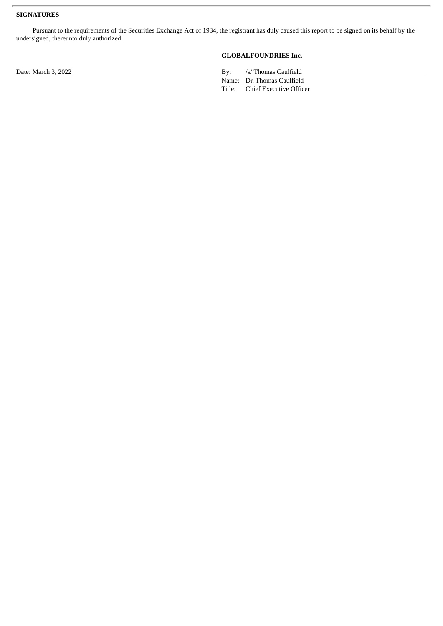#### **SIGNATURES**

Pursuant to the requirements of the Securities Exchange Act of 1934, the registrant has duly caused this report to be signed on its behalf by the undersigned, thereunto duly authorized.

## **GLOBALFOUNDRIES Inc.**

Date: March 3, 2022 By: /s/ Thomas Caulfield

Name: Dr. Thomas Caulfield<br>Title: Chief Executive Offic Chief Executive Officer